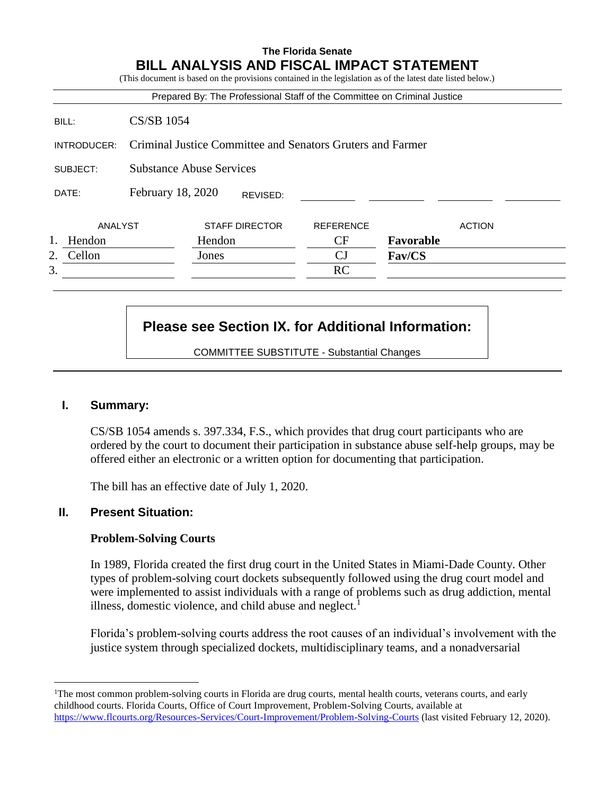# **The Florida Senate BILL ANALYSIS AND FISCAL IMPACT STATEMENT**

|              |                                                            | Prepared By: The Professional Staff of the Committee on Criminal Justice |                  |               |
|--------------|------------------------------------------------------------|--------------------------------------------------------------------------|------------------|---------------|
| BILL:        | <b>CS/SB 1054</b>                                          |                                                                          |                  |               |
| INTRODUCER:  | Criminal Justice Committee and Senators Gruters and Farmer |                                                                          |                  |               |
| SUBJECT:     | <b>Substance Abuse Services</b>                            |                                                                          |                  |               |
| DATE:        | February 18, 2020                                          | REVISED:                                                                 |                  |               |
| ANALYST      |                                                            | <b>STAFF DIRECTOR</b>                                                    | <b>REFERENCE</b> | <b>ACTION</b> |
| Hendon       |                                                            | Hendon                                                                   | CF               | Favorable     |
| Cellon<br>2. |                                                            | Jones                                                                    | CJ               | Fav/CS        |
| 3.           |                                                            |                                                                          | <b>RC</b>        |               |

# **Please see Section IX. for Additional Information:**

COMMITTEE SUBSTITUTE - Substantial Changes

# **I. Summary:**

 $\overline{a}$ 

CS/SB 1054 amends s. 397.334, F.S., which provides that drug court participants who are ordered by the court to document their participation in substance abuse self-help groups, may be offered either an electronic or a written option for documenting that participation.

The bill has an effective date of July 1, 2020.

#### **II. Present Situation:**

#### **Problem-Solving Courts**

In 1989, Florida created the first drug court in the United States in Miami-Dade County. Other types of problem-solving court dockets subsequently followed using the drug court model and were implemented to assist individuals with a range of problems such as drug addiction, mental illness, domestic violence, and child abuse and neglect. $<sup>1</sup>$ </sup>

Florida's problem-solving courts address the root causes of an individual's involvement with the justice system through specialized dockets, multidisciplinary teams, and a nonadversarial

<sup>&</sup>lt;sup>1</sup>The most common problem-solving courts in Florida are drug courts, mental health courts, veterans courts, and early childhood courts. Florida Courts, Office of Court Improvement, Problem-Solving Courts, available at <https://www.flcourts.org/Resources-Services/Court-Improvement/Problem-Solving-Courts> (last visited February 12, 2020).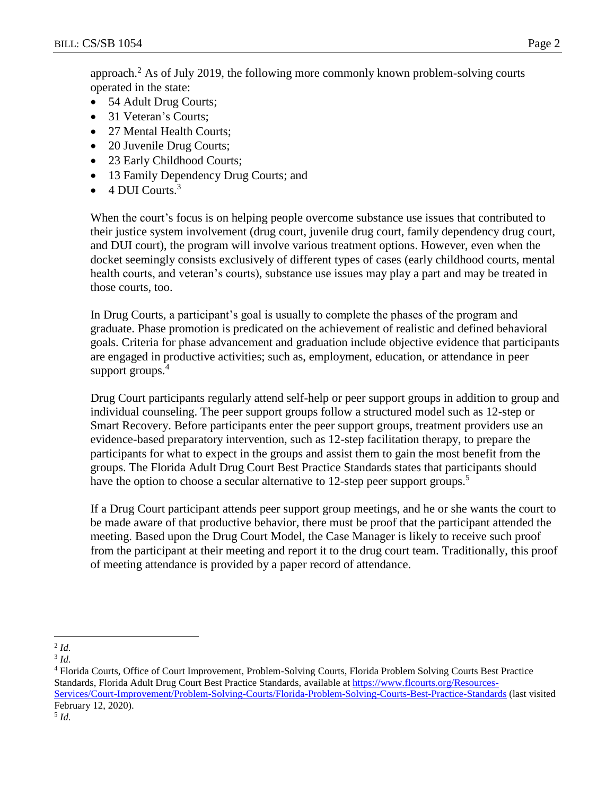approach.<sup>2</sup> As of July 2019, the following more commonly known problem-solving courts operated in the state:

- 54 Adult Drug Courts;
- 31 Veteran's Courts;
- 27 Mental Health Courts;
- 20 Juvenile Drug Courts;
- 23 Early Childhood Courts;
- 13 Family Dependency Drug Courts; and
- $\bullet$  4 DUI Courts.<sup>3</sup>

When the court's focus is on helping people overcome substance use issues that contributed to their justice system involvement (drug court, juvenile drug court, family dependency drug court, and DUI court), the program will involve various treatment options. However, even when the docket seemingly consists exclusively of different types of cases (early childhood courts, mental health courts, and veteran's courts), substance use issues may play a part and may be treated in those courts, too.

In Drug Courts, a participant's goal is usually to complete the phases of the program and graduate. Phase promotion is predicated on the achievement of realistic and defined behavioral goals. Criteria for phase advancement and graduation include objective evidence that participants are engaged in productive activities; such as, employment, education, or attendance in peer support groups.<sup>4</sup>

Drug Court participants regularly attend self-help or peer support groups in addition to group and individual counseling. The peer support groups follow a structured model such as 12-step or Smart Recovery. Before participants enter the peer support groups, treatment providers use an evidence-based preparatory intervention, such as 12-step facilitation therapy, to prepare the participants for what to expect in the groups and assist them to gain the most benefit from the groups. The Florida Adult Drug Court Best Practice Standards states that participants should have the option to choose a secular alternative to 12-step peer support groups.<sup>5</sup>

If a Drug Court participant attends peer support group meetings, and he or she wants the court to be made aware of that productive behavior, there must be proof that the participant attended the meeting. Based upon the Drug Court Model, the Case Manager is likely to receive such proof from the participant at their meeting and report it to the drug court team. Traditionally, this proof of meeting attendance is provided by a paper record of attendance.

<sup>4</sup> Florida Courts, Office of Court Improvement, Problem-Solving Courts, Florida Problem Solving Courts Best Practice Standards, Florida Adult Drug Court Best Practice Standards, available at [https://www.flcourts.org/Resources-](https://www.flcourts.org/Resources-Services/Court-Improvement/Problem-Solving-Courts/Florida-Problem-Solving-Courts-Best-Practice-Standards)[Services/Court-Improvement/Problem-Solving-Courts/Florida-Problem-Solving-Courts-Best-Practice-Standards](https://www.flcourts.org/Resources-Services/Court-Improvement/Problem-Solving-Courts/Florida-Problem-Solving-Courts-Best-Practice-Standards) (last visited February 12, 2020).

5 *Id.*

 $\overline{a}$ 2 *Id.*

<sup>3</sup> *Id.*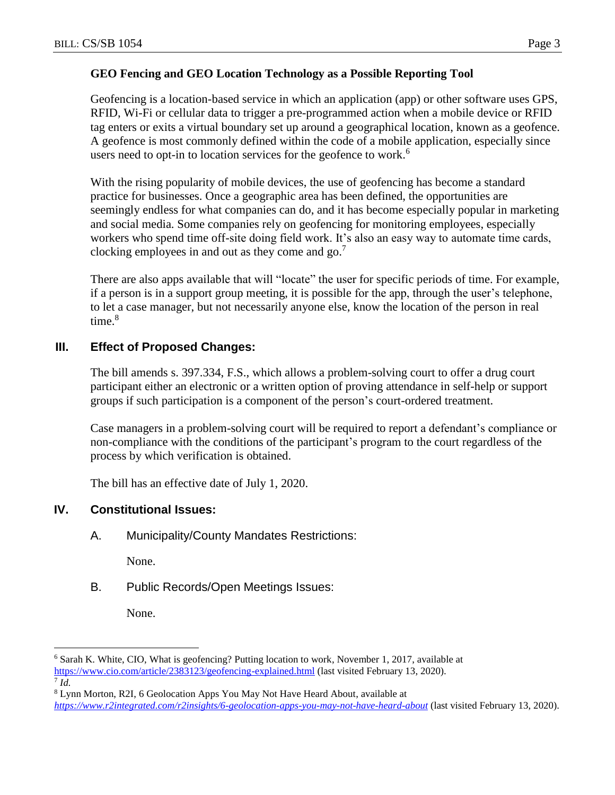### **GEO Fencing and GEO Location Technology as a Possible Reporting Tool**

Geofencing is a location-based service in which an application (app) or other software uses GPS, RFID, Wi-Fi or cellular data to trigger a pre-programmed action when a mobile device or RFID tag enters or exits a virtual boundary set up around a geographical location, known as a geofence. A geofence is most commonly defined within the code of a mobile application, especially since users need to opt-in to location services for the geofence to work.<sup>6</sup>

With the rising popularity of mobile devices, the use of geofencing has become a standard practice for businesses. Once a geographic area has been defined, the opportunities are seemingly endless for what companies can do, and it has become especially popular in marketing and social media. Some companies rely on geofencing for monitoring employees, especially workers who spend time off-site doing field work. It's also an easy way to automate time cards, clocking employees in and out as they come and  $go$ .<sup>7</sup>

There are also apps available that will "locate" the user for specific periods of time. For example, if a person is in a support group meeting, it is possible for the app, through the user's telephone, to let a case manager, but not necessarily anyone else, know the location of the person in real time. $8$ 

# **III. Effect of Proposed Changes:**

The bill amends s. 397.334, F.S., which allows a problem-solving court to offer a drug court participant either an electronic or a written option of proving attendance in self-help or support groups if such participation is a component of the person's court-ordered treatment.

Case managers in a problem-solving court will be required to report a defendant's compliance or non-compliance with the conditions of the participant's program to the court regardless of the process by which verification is obtained.

The bill has an effective date of July 1, 2020.

# **IV. Constitutional Issues:**

A. Municipality/County Mandates Restrictions:

None.

B. Public Records/Open Meetings Issues:

None.

 $\overline{a}$ 

<sup>6</sup> Sarah K. White, CIO, What is geofencing? Putting location to work, November 1, 2017, available at <https://www.cio.com/article/2383123/geofencing-explained.html> (last visited February 13, 2020). 7 *Id.*

<sup>8</sup> Lynn Morton, R2I, 6 Geolocation Apps You May Not Have Heard About, available at *<https://www.r2integrated.com/r2insights/6-geolocation-apps-you-may-not-have-heard-about>* (last visited February 13, 2020).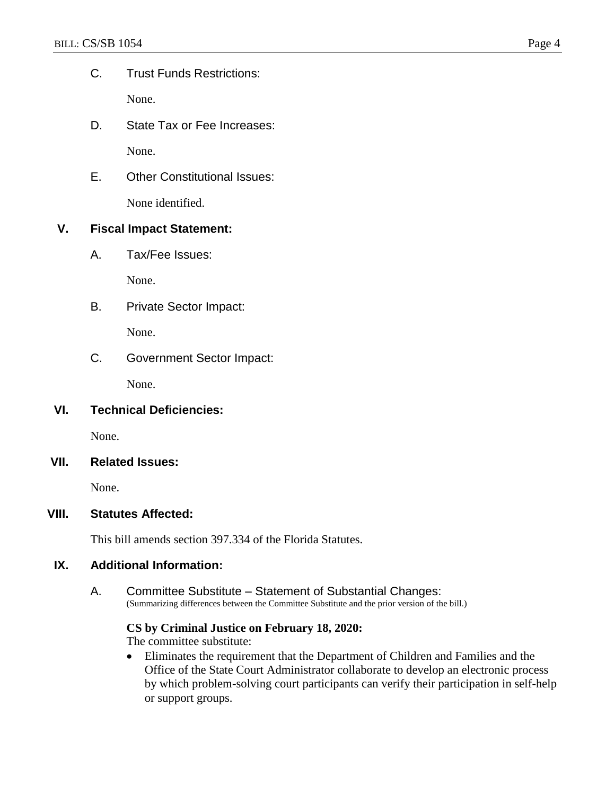C. Trust Funds Restrictions:

None.

D. State Tax or Fee Increases:

None.

E. Other Constitutional Issues:

None identified.

# **V. Fiscal Impact Statement:**

A. Tax/Fee Issues:

None.

B. Private Sector Impact:

None.

C. Government Sector Impact:

None.

# **VI. Technical Deficiencies:**

None.

#### **VII. Related Issues:**

None.

#### **VIII. Statutes Affected:**

This bill amends section 397.334 of the Florida Statutes.

#### **IX. Additional Information:**

A. Committee Substitute – Statement of Substantial Changes: (Summarizing differences between the Committee Substitute and the prior version of the bill.)

### **CS by Criminal Justice on February 18, 2020:**

The committee substitute:

 Eliminates the requirement that the Department of Children and Families and the Office of the State Court Administrator collaborate to develop an electronic process by which problem-solving court participants can verify their participation in self-help or support groups.